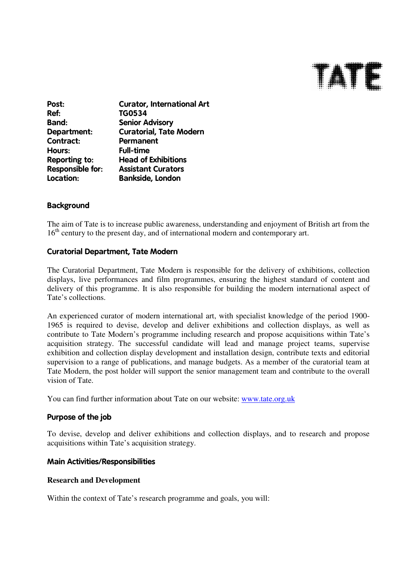

| <b>Curator, International Art</b> |
|-----------------------------------|
| <b>TG0534</b>                     |
| <b>Senior Advisory</b>            |
| <b>Curatorial, Tate Modern</b>    |
| Permanent                         |
| <b>Full-time</b>                  |
| <b>Head of Exhibitions</b>        |
| <b>Assistant Curators</b>         |
| <b>Bankside, London</b>           |
|                                   |

### **Background**

The aim of Tate is to increase public awareness, understanding and enjoyment of British art from the 16<sup>th</sup> century to the present day, and of international modern and contemporary art.

### Curatorial Department, Tate Modern

The Curatorial Department, Tate Modern is responsible for the delivery of exhibitions, collection displays, live performances and film programmes, ensuring the highest standard of content and delivery of this programme. It is also responsible for building the modern international aspect of Tate's collections.

An experienced curator of modern international art, with specialist knowledge of the period 1900- 1965 is required to devise, develop and deliver exhibitions and collection displays, as well as contribute to Tate Modern's programme including research and propose acquisitions within Tate's acquisition strategy. The successful candidate will lead and manage project teams, supervise exhibition and collection display development and installation design, contribute texts and editorial supervision to a range of publications, and manage budgets. As a member of the curatorial team at Tate Modern, the post holder will support the senior management team and contribute to the overall vision of Tate.

You can find further information about Tate on our website: www.tate.org.uk

### Purpose of the job

To devise, develop and deliver exhibitions and collection displays, and to research and propose acquisitions within Tate's acquisition strategy.

### Main Activities/Responsibilities

#### **Research and Development**

Within the context of Tate's research programme and goals, you will: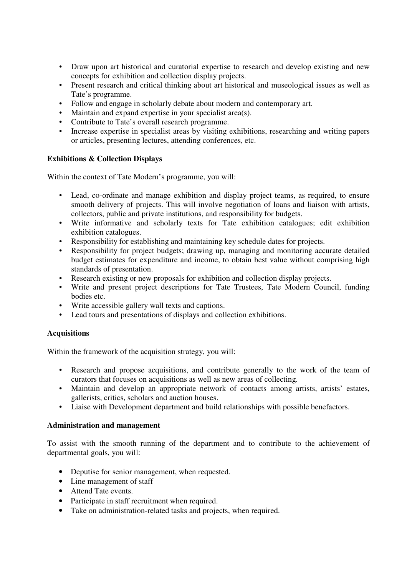- Draw upon art historical and curatorial expertise to research and develop existing and new concepts for exhibition and collection display projects.
- Present research and critical thinking about art historical and museological issues as well as Tate's programme.
- Follow and engage in scholarly debate about modern and contemporary art.
- Maintain and expand expertise in your specialist area(s).
- Contribute to Tate's overall research programme.
- Increase expertise in specialist areas by visiting exhibitions, researching and writing papers or articles, presenting lectures, attending conferences, etc.

### **Exhibitions & Collection Displays**

Within the context of Tate Modern's programme, you will:

- Lead, co-ordinate and manage exhibition and display project teams, as required, to ensure smooth delivery of projects. This will involve negotiation of loans and liaison with artists, collectors, public and private institutions, and responsibility for budgets.
- Write informative and scholarly texts for Tate exhibition catalogues; edit exhibition exhibition catalogues.
- Responsibility for establishing and maintaining key schedule dates for projects.
- Responsibility for project budgets; drawing up, managing and monitoring accurate detailed budget estimates for expenditure and income, to obtain best value without comprising high standards of presentation.
- Research existing or new proposals for exhibition and collection display projects.
- Write and present project descriptions for Tate Trustees, Tate Modern Council, funding bodies etc.
- Write accessible gallery wall texts and captions.
- Lead tours and presentations of displays and collection exhibitions.

### **Acquisitions**

Within the framework of the acquisition strategy, you will:

- Research and propose acquisitions, and contribute generally to the work of the team of curators that focuses on acquisitions as well as new areas of collecting.
- Maintain and develop an appropriate network of contacts among artists, artists' estates, gallerists, critics, scholars and auction houses.
- Liaise with Development department and build relationships with possible benefactors.

### **Administration and management**

To assist with the smooth running of the department and to contribute to the achievement of departmental goals, you will:

- Deputise for senior management, when requested.
- Line management of staff
- Attend Tate events.
- Participate in staff recruitment when required.
- Take on administration-related tasks and projects, when required.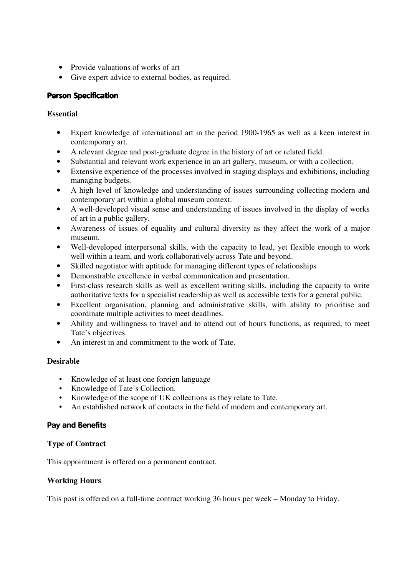- Provide valuations of works of art
- Give expert advice to external bodies, as required.

# **Person Specification**

# **Essential**

- Expert knowledge of international art in the period 1900-1965 as well as a keen interest in contemporary art.
- A relevant degree and post-graduate degree in the history of art or related field.
- Substantial and relevant work experience in an art gallery, museum, or with a collection.
- Extensive experience of the processes involved in staging displays and exhibitions, including managing budgets.
- A high level of knowledge and understanding of issues surrounding collecting modern and contemporary art within a global museum context.
- A well-developed visual sense and understanding of issues involved in the display of works of art in a public gallery.
- Awareness of issues of equality and cultural diversity as they affect the work of a major museum.
- Well-developed interpersonal skills, with the capacity to lead, yet flexible enough to work well within a team, and work collaboratively across Tate and beyond.
- Skilled negotiator with aptitude for managing different types of relationships
- Demonstrable excellence in verbal communication and presentation.
- First-class research skills as well as excellent writing skills, including the capacity to write authoritative texts for a specialist readership as well as accessible texts for a general public.
- Excellent organisation, planning and administrative skills, with ability to prioritise and coordinate multiple activities to meet deadlines.
- Ability and willingness to travel and to attend out of hours functions, as required, to meet Tate's objectives.
- An interest in and commitment to the work of Tate.

# **Desirable**

- Knowledge of at least one foreign language
- Knowledge of Tate's Collection.
- Knowledge of the scope of UK collections as they relate to Tate.
- An established network of contacts in the field of modern and contemporary art.

# Pay and Benefits

# **Type of Contract**

This appointment is offered on a permanent contract.

# **Working Hours**

This post is offered on a full-time contract working 36 hours per week – Monday to Friday.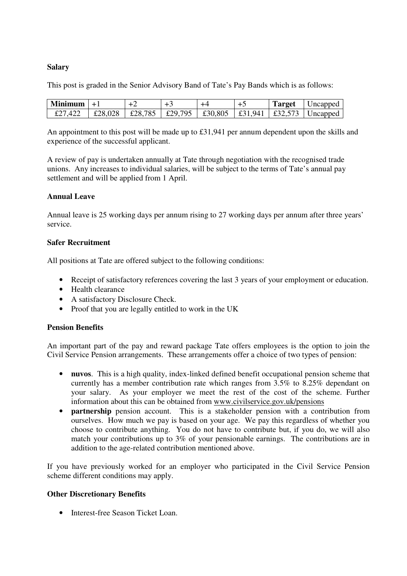### **Salary**

This post is graded in the Senior Advisory Band of Tate's Pay Bands which is as follows:

| <b>Minimum</b> | · + + + |  |  | <b>Target</b> | Uncapped                                                   |
|----------------|---------|--|--|---------------|------------------------------------------------------------|
| £27,422        | £28,028 |  |  |               | £28,785   £29,795   £30,805   £31,941   £32,573   Uncapped |

An appointment to this post will be made up to £31,941 per annum dependent upon the skills and experience of the successful applicant.

A review of pay is undertaken annually at Tate through negotiation with the recognised trade unions. Any increases to individual salaries, will be subject to the terms of Tate's annual pay settlement and will be applied from 1 April.

### **Annual Leave**

Annual leave is 25 working days per annum rising to 27 working days per annum after three years' service.

### **Safer Recruitment**

All positions at Tate are offered subject to the following conditions:

- Receipt of satisfactory references covering the last 3 years of your employment or education.
- Health clearance
- A satisfactory Disclosure Check.
- Proof that you are legally entitled to work in the UK

### **Pension Benefits**

An important part of the pay and reward package Tate offers employees is the option to join the Civil Service Pension arrangements. These arrangements offer a choice of two types of pension:

- **nuvos**. This is a high quality, index-linked defined benefit occupational pension scheme that currently has a member contribution rate which ranges from 3.5% to 8.25% dependant on your salary. As your employer we meet the rest of the cost of the scheme. Further information about this can be obtained from www.civilservice.gov.uk/pensions
- **partnership** pension account. This is a stakeholder pension with a contribution from ourselves. How much we pay is based on your age. We pay this regardless of whether you choose to contribute anything. You do not have to contribute but, if you do, we will also match your contributions up to 3% of your pensionable earnings. The contributions are in addition to the age-related contribution mentioned above.

If you have previously worked for an employer who participated in the Civil Service Pension scheme different conditions may apply.

### **Other Discretionary Benefits**

• Interest-free Season Ticket Loan.